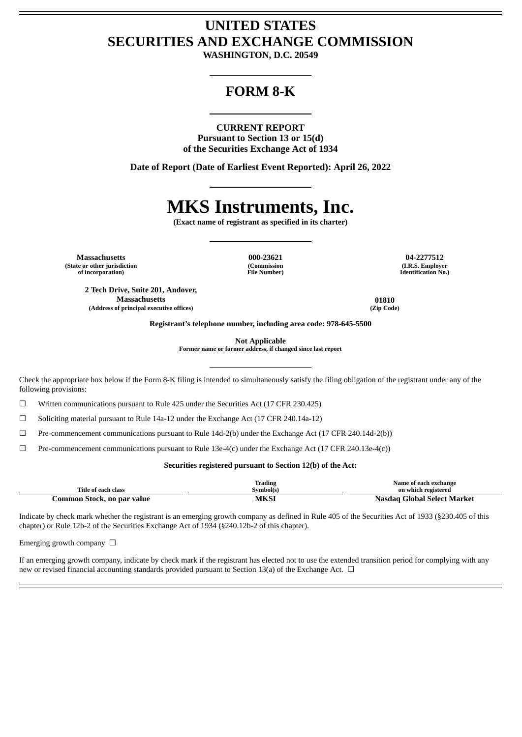# **UNITED STATES SECURITIES AND EXCHANGE COMMISSION**

**WASHINGTON, D.C. 20549**

# **FORM 8-K**

#### **CURRENT REPORT**

**Pursuant to Section 13 or 15(d) of the Securities Exchange Act of 1934**

**Date of Report (Date of Earliest Event Reported): April 26, 2022**

# **MKS Instruments, Inc.**

**(Exact name of registrant as specified in its charter)**

**Massachusetts 000-23621 04-2277512 (State or other jurisdiction of incorporation)**

**(Commission File Number)**

**(I.R.S. Employer Identification No.)**

**2 Tech Drive, Suite 201, Andover, Massachusetts 01810 (Address of principal executive offices) (Zip Code)**

**Registrant's telephone number, including area code: 978-645-5500**

**Not Applicable**

**Former name or former address, if changed since last report**

Check the appropriate box below if the Form 8-K filing is intended to simultaneously satisfy the filing obligation of the registrant under any of the following provisions:

☐ Written communications pursuant to Rule 425 under the Securities Act (17 CFR 230.425)

☐ Soliciting material pursuant to Rule 14a-12 under the Exchange Act (17 CFR 240.14a-12)

☐ Pre-commencement communications pursuant to Rule 14d-2(b) under the Exchange Act (17 CFR 240.14d-2(b))

 $\Box$  Pre-commencement communications pursuant to Rule 13e-4(c) under the Exchange Act (17 CFR 240.13e-4(c))

# **Securities registered pursuant to Section 12(b) of the Act:**

|                            | [rading   | Name of each exchange       |
|----------------------------|-----------|-----------------------------|
| Title of each class        | Svmbol(s) | on which registered         |
| Common Stock, no par value | MKSI      | Nasdag Global Select Market |

Indicate by check mark whether the registrant is an emerging growth company as defined in Rule 405 of the Securities Act of 1933 (§230.405 of this chapter) or Rule 12b-2 of the Securities Exchange Act of 1934 (§240.12b-2 of this chapter).

Emerging growth company  $\Box$ 

If an emerging growth company, indicate by check mark if the registrant has elected not to use the extended transition period for complying with any new or revised financial accounting standards provided pursuant to Section 13(a) of the Exchange Act.  $\Box$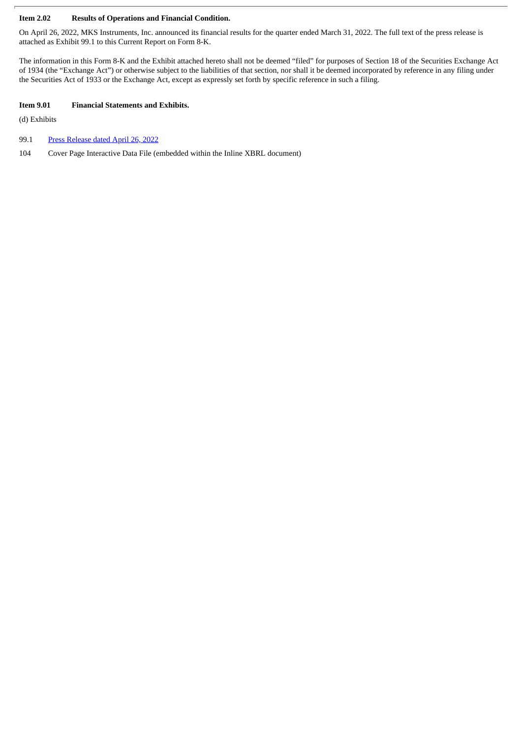# **Item 2.02 Results of Operations and Financial Condition.**

On April 26, 2022, MKS Instruments, Inc. announced its financial results for the quarter ended March 31, 2022. The full text of the press release is attached as Exhibit 99.1 to this Current Report on Form 8-K.

The information in this Form 8-K and the Exhibit attached hereto shall not be deemed "filed" for purposes of Section 18 of the Securities Exchange Act of 1934 (the "Exchange Act") or otherwise subject to the liabilities of that section, nor shall it be deemed incorporated by reference in any filing under the Securities Act of 1933 or the Exchange Act, except as expressly set forth by specific reference in such a filing.

# **Item 9.01 Financial Statements and Exhibits.**

(d) Exhibits

- 99.1 Press [Release](#page-3-0) dated April 26, 2022
- 104 Cover Page Interactive Data File (embedded within the Inline XBRL document)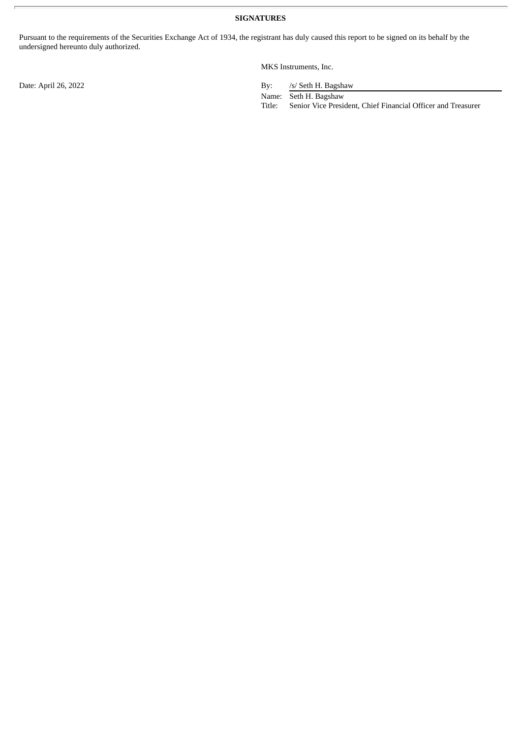Pursuant to the requirements of the Securities Exchange Act of 1934, the registrant has duly caused this report to be signed on its behalf by the undersigned hereunto duly authorized.

MKS Instruments, Inc.

Date: April 26, 2022 By: /s/ Seth H. Bagshaw

Name: Seth H. Bagshaw

Title: Senior Vice President, Chief Financial Officer and Treasurer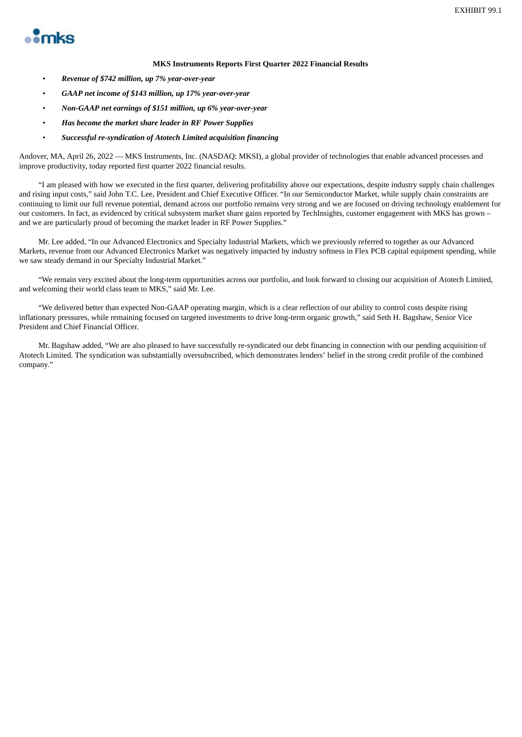<span id="page-3-0"></span>

### **MKS Instruments Reports First Quarter 2022 Financial Results**

- *Revenue of \$742 million, up 7% year-over-year*
- *GAAP net income of \$143 million, up 17% year-over-year*
- *Non-GAAP net earnings of \$151 million, up 6% year-over-year*
- *Has become the market share leader in RF Power Supplies*
- *Successful re-syndication of Atotech Limited acquisition financing*

Andover, MA, April 26, 2022 — MKS Instruments, Inc. (NASDAQ: MKSI), a global provider of technologies that enable advanced processes and improve productivity, today reported first quarter 2022 financial results.

"I am pleased with how we executed in the first quarter, delivering profitability above our expectations, despite industry supply chain challenges and rising input costs," said John T.C. Lee, President and Chief Executive Officer. "In our Semiconductor Market, while supply chain constraints are continuing to limit our full revenue potential, demand across our portfolio remains very strong and we are focused on driving technology enablement for our customers. In fact, as evidenced by critical subsystem market share gains reported by TechInsights, customer engagement with MKS has grown – and we are particularly proud of becoming the market leader in RF Power Supplies."

Mr. Lee added, "In our Advanced Electronics and Specialty Industrial Markets, which we previously referred to together as our Advanced Markets, revenue from our Advanced Electronics Market was negatively impacted by industry softness in Flex PCB capital equipment spending, while we saw steady demand in our Specialty Industrial Market."

"We remain very excited about the long-term opportunities across our portfolio, and look forward to closing our acquisition of Atotech Limited, and welcoming their world class team to MKS," said Mr. Lee.

"We delivered better than expected Non-GAAP operating margin, which is a clear reflection of our ability to control costs despite rising inflationary pressures, while remaining focused on targeted investments to drive long-term organic growth," said Seth H. Bagshaw, Senior Vice President and Chief Financial Officer.

Mr. Bagshaw added, "We are also pleased to have successfully re-syndicated our debt financing in connection with our pending acquisition of Atotech Limited. The syndication was substantially oversubscribed, which demonstrates lenders' belief in the strong credit profile of the combined company."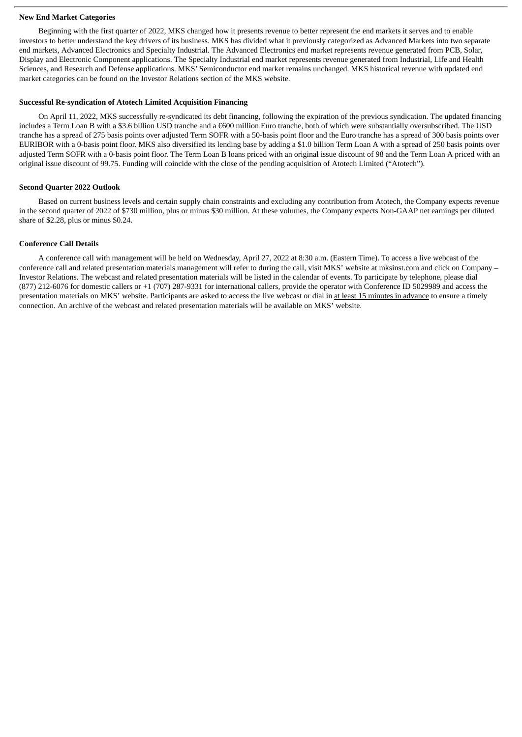#### **New End Market Categories**

Beginning with the first quarter of 2022, MKS changed how it presents revenue to better represent the end markets it serves and to enable investors to better understand the key drivers of its business. MKS has divided what it previously categorized as Advanced Markets into two separate end markets, Advanced Electronics and Specialty Industrial. The Advanced Electronics end market represents revenue generated from PCB, Solar, Display and Electronic Component applications. The Specialty Industrial end market represents revenue generated from Industrial, Life and Health Sciences, and Research and Defense applications. MKS' Semiconductor end market remains unchanged. MKS historical revenue with updated end market categories can be found on the Investor Relations section of the MKS website.

#### **Successful Re-syndication of Atotech Limited Acquisition Financing**

On April 11, 2022, MKS successfully re-syndicated its debt financing, following the expiration of the previous syndication. The updated financing includes a Term Loan B with a \$3.6 billion USD tranche and a €600 million Euro tranche, both of which were substantially oversubscribed. The USD tranche has a spread of 275 basis points over adjusted Term SOFR with a 50-basis point floor and the Euro tranche has a spread of 300 basis points over EURIBOR with a 0-basis point floor. MKS also diversified its lending base by adding a \$1.0 billion Term Loan A with a spread of 250 basis points over adjusted Term SOFR with a 0-basis point floor. The Term Loan B loans priced with an original issue discount of 98 and the Term Loan A priced with an original issue discount of 99.75. Funding will coincide with the close of the pending acquisition of Atotech Limited ("Atotech").

#### **Second Quarter 2022 Outlook**

Based on current business levels and certain supply chain constraints and excluding any contribution from Atotech, the Company expects revenue in the second quarter of 2022 of \$730 million, plus or minus \$30 million. At these volumes, the Company expects Non-GAAP net earnings per diluted share of \$2.28, plus or minus \$0.24.

### **Conference Call Details**

A conference call with management will be held on Wednesday, April 27, 2022 at 8:30 a.m. (Eastern Time). To access a live webcast of the conference call and related presentation materials management will refer to during the call, visit MKS' website at mksinst.com and click on Company – Investor Relations. The webcast and related presentation materials will be listed in the calendar of events. To participate by telephone, please dial (877) 212-6076 for domestic callers or +1 (707) 287-9331 for international callers, provide the operator with Conference ID 5029989 and access the presentation materials on MKS' website. Participants are asked to access the live webcast or dial in at least 15 minutes in advance to ensure a timely connection. An archive of the webcast and related presentation materials will be available on MKS' website.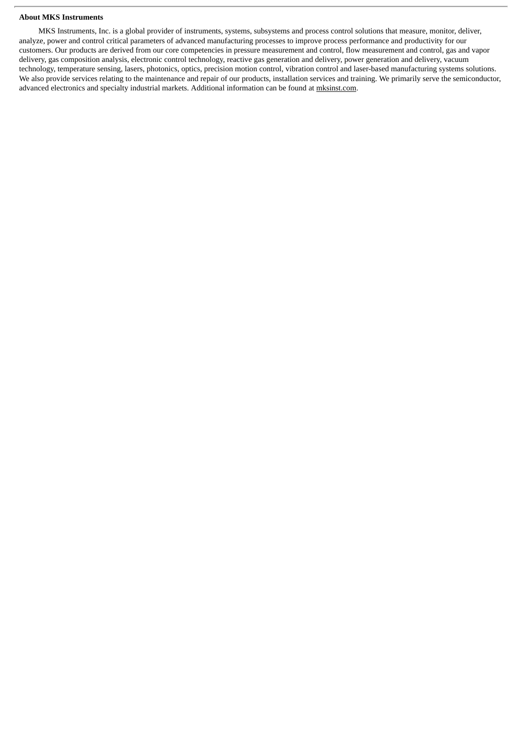#### **About MKS Instruments**

MKS Instruments, Inc. is a global provider of instruments, systems, subsystems and process control solutions that measure, monitor, deliver, analyze, power and control critical parameters of advanced manufacturing processes to improve process performance and productivity for our customers. Our products are derived from our core competencies in pressure measurement and control, flow measurement and control, gas and vapor delivery, gas composition analysis, electronic control technology, reactive gas generation and delivery, power generation and delivery, vacuum technology, temperature sensing, lasers, photonics, optics, precision motion control, vibration control and laser-based manufacturing systems solutions. We also provide services relating to the maintenance and repair of our products, installation services and training. We primarily serve the semiconductor, advanced electronics and specialty industrial markets. Additional information can be found at mksinst.com.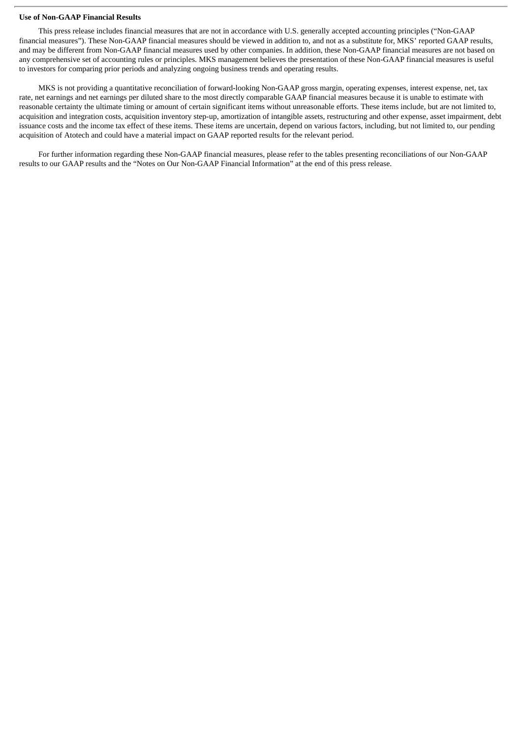#### **Use of Non-GAAP Financial Results**

This press release includes financial measures that are not in accordance with U.S. generally accepted accounting principles ("Non-GAAP financial measures"). These Non-GAAP financial measures should be viewed in addition to, and not as a substitute for, MKS' reported GAAP results, and may be different from Non-GAAP financial measures used by other companies. In addition, these Non-GAAP financial measures are not based on any comprehensive set of accounting rules or principles. MKS management believes the presentation of these Non-GAAP financial measures is useful to investors for comparing prior periods and analyzing ongoing business trends and operating results.

MKS is not providing a quantitative reconciliation of forward-looking Non-GAAP gross margin, operating expenses, interest expense, net, tax rate, net earnings and net earnings per diluted share to the most directly comparable GAAP financial measures because it is unable to estimate with reasonable certainty the ultimate timing or amount of certain significant items without unreasonable efforts. These items include, but are not limited to, acquisition and integration costs, acquisition inventory step-up, amortization of intangible assets, restructuring and other expense, asset impairment, debt issuance costs and the income tax effect of these items. These items are uncertain, depend on various factors, including, but not limited to, our pending acquisition of Atotech and could have a material impact on GAAP reported results for the relevant period.

For further information regarding these Non-GAAP financial measures, please refer to the tables presenting reconciliations of our Non-GAAP results to our GAAP results and the "Notes on Our Non-GAAP Financial Information" at the end of this press release.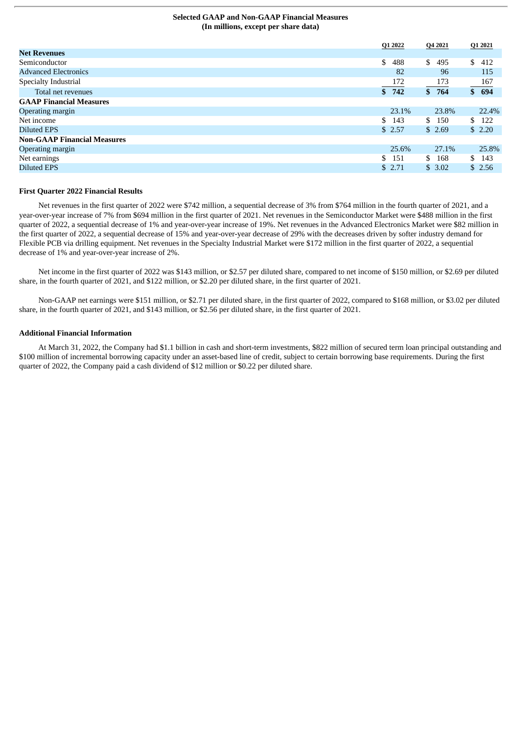#### **Selected GAAP and Non-GAAP Financial Measures (In millions, except per share data)**

|                                    | Q1 2022   | Q4 2021    | Q1 2021    |
|------------------------------------|-----------|------------|------------|
| <b>Net Revenues</b>                |           |            |            |
| Semiconductor                      | \$<br>488 | \$<br>495  | \$<br>412  |
| <b>Advanced Electronics</b>        | 82        | 96         | 115        |
| Specialty Industrial               | 172       | 173        | 167        |
| Total net revenues                 | \$742     | \$764      | \$694      |
| <b>GAAP Financial Measures</b>     |           |            |            |
| Operating margin                   | 23.1%     | 23.8%      | 22.4%      |
| Net income                         | \$143     | \$.<br>150 | 122<br>SS. |
| <b>Diluted EPS</b>                 | \$2.57    | \$2.69     | \$2.20     |
| <b>Non-GAAP Financial Measures</b> |           |            |            |
| Operating margin                   | 25.6%     | 27.1%      | 25.8%      |
| Net earnings                       | \$<br>151 | \$<br>168  | \$143      |
| <b>Diluted EPS</b>                 | \$2.71    | \$3.02     | \$2.56     |
|                                    |           |            |            |

#### **First Quarter 2022 Financial Results**

Net revenues in the first quarter of 2022 were \$742 million, a sequential decrease of 3% from \$764 million in the fourth quarter of 2021, and a year-over-year increase of 7% from \$694 million in the first quarter of 2021. Net revenues in the Semiconductor Market were \$488 million in the first quarter of 2022, a sequential decrease of 1% and year-over-year increase of 19%. Net revenues in the Advanced Electronics Market were \$82 million in the first quarter of 2022, a sequential decrease of 15% and year-over-year decrease of 29% with the decreases driven by softer industry demand for Flexible PCB via drilling equipment. Net revenues in the Specialty Industrial Market were \$172 million in the first quarter of 2022, a sequential decrease of 1% and year-over-year increase of 2%.

Net income in the first quarter of 2022 was \$143 million, or \$2.57 per diluted share, compared to net income of \$150 million, or \$2.69 per diluted share, in the fourth quarter of 2021, and \$122 million, or \$2.20 per diluted share, in the first quarter of 2021.

Non-GAAP net earnings were \$151 million, or \$2.71 per diluted share, in the first quarter of 2022, compared to \$168 million, or \$3.02 per diluted share, in the fourth quarter of 2021, and \$143 million, or \$2.56 per diluted share, in the first quarter of 2021.

#### **Additional Financial Information**

At March 31, 2022, the Company had \$1.1 billion in cash and short-term investments, \$822 million of secured term loan principal outstanding and \$100 million of incremental borrowing capacity under an asset-based line of credit, subject to certain borrowing base requirements. During the first quarter of 2022, the Company paid a cash dividend of \$12 million or \$0.22 per diluted share.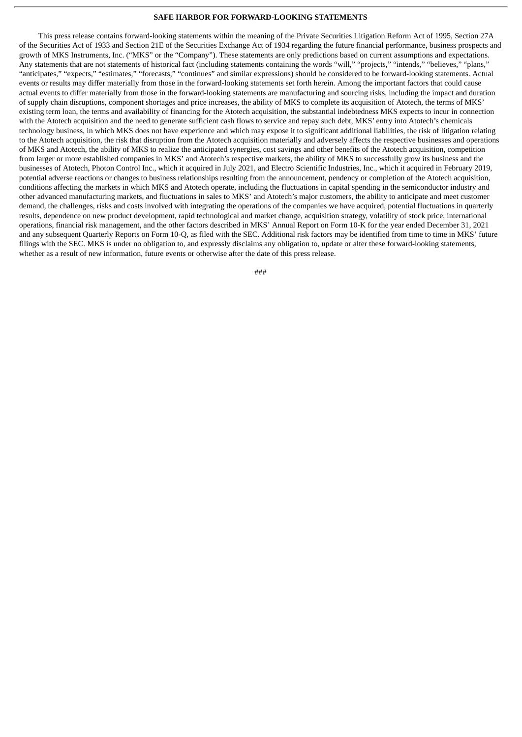#### **SAFE HARBOR FOR FORWARD-LOOKING STATEMENTS**

This press release contains forward-looking statements within the meaning of the Private Securities Litigation Reform Act of 1995, Section 27A of the Securities Act of 1933 and Section 21E of the Securities Exchange Act of 1934 regarding the future financial performance, business prospects and growth of MKS Instruments, Inc. ("MKS" or the "Company"). These statements are only predictions based on current assumptions and expectations. Any statements that are not statements of historical fact (including statements containing the words "will," "projects," "intends," "believes," "plans," "anticipates," "expects," "estimates," "forecasts," "continues" and similar expressions) should be considered to be forward-looking statements. Actual events or results may differ materially from those in the forward-looking statements set forth herein. Among the important factors that could cause actual events to differ materially from those in the forward-looking statements are manufacturing and sourcing risks, including the impact and duration of supply chain disruptions, component shortages and price increases, the ability of MKS to complete its acquisition of Atotech, the terms of MKS' existing term loan, the terms and availability of financing for the Atotech acquisition, the substantial indebtedness MKS expects to incur in connection with the Atotech acquisition and the need to generate sufficient cash flows to service and repay such debt, MKS' entry into Atotech's chemicals technology business, in which MKS does not have experience and which may expose it to significant additional liabilities, the risk of litigation relating to the Atotech acquisition, the risk that disruption from the Atotech acquisition materially and adversely affects the respective businesses and operations of MKS and Atotech, the ability of MKS to realize the anticipated synergies, cost savings and other benefits of the Atotech acquisition, competition from larger or more established companies in MKS' and Atotech's respective markets, the ability of MKS to successfully grow its business and the businesses of Atotech, Photon Control Inc., which it acquired in July 2021, and Electro Scientific Industries, Inc., which it acquired in February 2019, potential adverse reactions or changes to business relationships resulting from the announcement, pendency or completion of the Atotech acquisition, conditions affecting the markets in which MKS and Atotech operate, including the fluctuations in capital spending in the semiconductor industry and other advanced manufacturing markets, and fluctuations in sales to MKS' and Atotech's major customers, the ability to anticipate and meet customer demand, the challenges, risks and costs involved with integrating the operations of the companies we have acquired, potential fluctuations in quarterly results, dependence on new product development, rapid technological and market change, acquisition strategy, volatility of stock price, international operations, financial risk management, and the other factors described in MKS' Annual Report on Form 10-K for the year ended December 31, 2021 and any subsequent Quarterly Reports on Form 10-Q, as filed with the SEC. Additional risk factors may be identified from time to time in MKS' future filings with the SEC. MKS is under no obligation to, and expressly disclaims any obligation to, update or alter these forward-looking statements, whether as a result of new information, future events or otherwise after the date of this press release.

###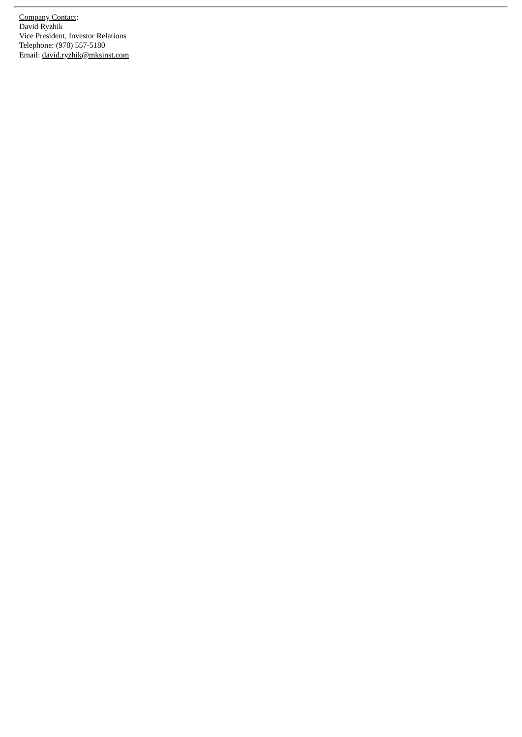**Company Contact:** David Ryzhik Vice President, Investor Relations Telephone: (978) 557-5180 Email: <u>david.ryzhik@mksinst.com</u>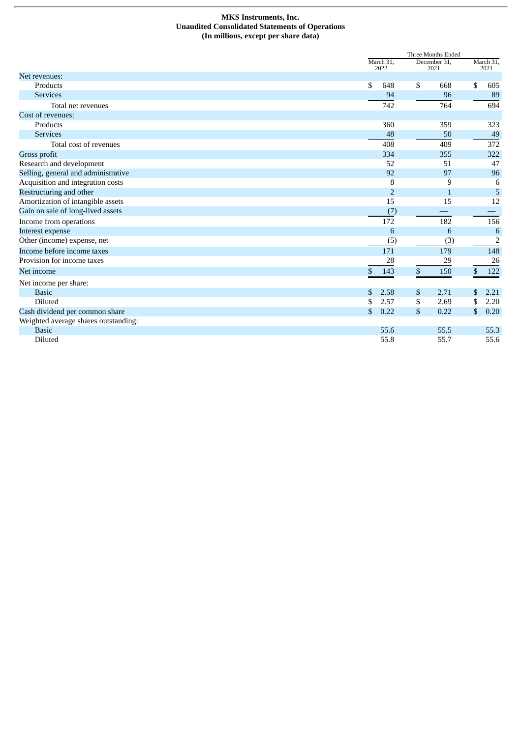#### **MKS Instruments, Inc. Unaudited Consolidated Statements of Operations (In millions, except per share data)**

| March 31,<br>December 31,<br>March 31,<br>2022<br>2021<br>2021<br>\$<br>648<br>\$<br>\$<br>Products<br>668<br>605<br>96<br>89<br><b>Services</b><br>94<br>742<br>764<br>694<br>Total net revenues<br>Products<br>360<br>359<br>323<br>48<br>50<br><b>Services</b><br>49<br>Total cost of revenues<br>408<br>409<br>372<br>334<br>355<br>322<br>52<br>47<br>51<br>92<br>97<br>96<br>9<br>8<br>6<br>Restructuring and other<br>5<br>$\overline{2}$<br>$\mathbf{1}$<br>Amortization of intangible assets<br>15<br>15<br>12<br>Gain on sale of long-lived assets<br>(7)<br>172<br>156<br>182<br>$6\phantom{1}6$<br>6<br>6<br>(3)<br>$\overline{2}$<br>(5)<br>171<br>148<br>179<br>26<br>28<br>29<br>143<br>\$<br>150<br>\$<br>122<br>\$<br>2.58<br>\$<br>2.71<br>\$<br>2.21<br><b>Basic</b><br><b>Diluted</b><br>2.57<br>\$<br>2.69<br>\$<br>2.20<br>S<br>\$<br>\$<br>\$<br>0.22<br>0.20<br>0.22<br><b>Basic</b><br>55.6<br>55.5<br>55.3<br><b>Diluted</b><br>55.6<br>55.8<br>55.7 |                                      | Three Months Ended |  |  |  |  |  |
|--------------------------------------------------------------------------------------------------------------------------------------------------------------------------------------------------------------------------------------------------------------------------------------------------------------------------------------------------------------------------------------------------------------------------------------------------------------------------------------------------------------------------------------------------------------------------------------------------------------------------------------------------------------------------------------------------------------------------------------------------------------------------------------------------------------------------------------------------------------------------------------------------------------------------------------------------------------------------------|--------------------------------------|--------------------|--|--|--|--|--|
|                                                                                                                                                                                                                                                                                                                                                                                                                                                                                                                                                                                                                                                                                                                                                                                                                                                                                                                                                                                |                                      |                    |  |  |  |  |  |
|                                                                                                                                                                                                                                                                                                                                                                                                                                                                                                                                                                                                                                                                                                                                                                                                                                                                                                                                                                                | Net revenues:                        |                    |  |  |  |  |  |
|                                                                                                                                                                                                                                                                                                                                                                                                                                                                                                                                                                                                                                                                                                                                                                                                                                                                                                                                                                                |                                      |                    |  |  |  |  |  |
|                                                                                                                                                                                                                                                                                                                                                                                                                                                                                                                                                                                                                                                                                                                                                                                                                                                                                                                                                                                |                                      |                    |  |  |  |  |  |
|                                                                                                                                                                                                                                                                                                                                                                                                                                                                                                                                                                                                                                                                                                                                                                                                                                                                                                                                                                                |                                      |                    |  |  |  |  |  |
|                                                                                                                                                                                                                                                                                                                                                                                                                                                                                                                                                                                                                                                                                                                                                                                                                                                                                                                                                                                | Cost of revenues:                    |                    |  |  |  |  |  |
|                                                                                                                                                                                                                                                                                                                                                                                                                                                                                                                                                                                                                                                                                                                                                                                                                                                                                                                                                                                |                                      |                    |  |  |  |  |  |
|                                                                                                                                                                                                                                                                                                                                                                                                                                                                                                                                                                                                                                                                                                                                                                                                                                                                                                                                                                                |                                      |                    |  |  |  |  |  |
|                                                                                                                                                                                                                                                                                                                                                                                                                                                                                                                                                                                                                                                                                                                                                                                                                                                                                                                                                                                |                                      |                    |  |  |  |  |  |
|                                                                                                                                                                                                                                                                                                                                                                                                                                                                                                                                                                                                                                                                                                                                                                                                                                                                                                                                                                                | Gross profit                         |                    |  |  |  |  |  |
|                                                                                                                                                                                                                                                                                                                                                                                                                                                                                                                                                                                                                                                                                                                                                                                                                                                                                                                                                                                | Research and development             |                    |  |  |  |  |  |
|                                                                                                                                                                                                                                                                                                                                                                                                                                                                                                                                                                                                                                                                                                                                                                                                                                                                                                                                                                                | Selling, general and administrative  |                    |  |  |  |  |  |
|                                                                                                                                                                                                                                                                                                                                                                                                                                                                                                                                                                                                                                                                                                                                                                                                                                                                                                                                                                                | Acquisition and integration costs    |                    |  |  |  |  |  |
|                                                                                                                                                                                                                                                                                                                                                                                                                                                                                                                                                                                                                                                                                                                                                                                                                                                                                                                                                                                |                                      |                    |  |  |  |  |  |
|                                                                                                                                                                                                                                                                                                                                                                                                                                                                                                                                                                                                                                                                                                                                                                                                                                                                                                                                                                                |                                      |                    |  |  |  |  |  |
|                                                                                                                                                                                                                                                                                                                                                                                                                                                                                                                                                                                                                                                                                                                                                                                                                                                                                                                                                                                |                                      |                    |  |  |  |  |  |
|                                                                                                                                                                                                                                                                                                                                                                                                                                                                                                                                                                                                                                                                                                                                                                                                                                                                                                                                                                                | Income from operations               |                    |  |  |  |  |  |
|                                                                                                                                                                                                                                                                                                                                                                                                                                                                                                                                                                                                                                                                                                                                                                                                                                                                                                                                                                                | Interest expense                     |                    |  |  |  |  |  |
|                                                                                                                                                                                                                                                                                                                                                                                                                                                                                                                                                                                                                                                                                                                                                                                                                                                                                                                                                                                | Other (income) expense, net          |                    |  |  |  |  |  |
|                                                                                                                                                                                                                                                                                                                                                                                                                                                                                                                                                                                                                                                                                                                                                                                                                                                                                                                                                                                | Income before income taxes           |                    |  |  |  |  |  |
|                                                                                                                                                                                                                                                                                                                                                                                                                                                                                                                                                                                                                                                                                                                                                                                                                                                                                                                                                                                | Provision for income taxes           |                    |  |  |  |  |  |
|                                                                                                                                                                                                                                                                                                                                                                                                                                                                                                                                                                                                                                                                                                                                                                                                                                                                                                                                                                                | Net income                           |                    |  |  |  |  |  |
|                                                                                                                                                                                                                                                                                                                                                                                                                                                                                                                                                                                                                                                                                                                                                                                                                                                                                                                                                                                | Net income per share:                |                    |  |  |  |  |  |
|                                                                                                                                                                                                                                                                                                                                                                                                                                                                                                                                                                                                                                                                                                                                                                                                                                                                                                                                                                                |                                      |                    |  |  |  |  |  |
|                                                                                                                                                                                                                                                                                                                                                                                                                                                                                                                                                                                                                                                                                                                                                                                                                                                                                                                                                                                |                                      |                    |  |  |  |  |  |
|                                                                                                                                                                                                                                                                                                                                                                                                                                                                                                                                                                                                                                                                                                                                                                                                                                                                                                                                                                                | Cash dividend per common share       |                    |  |  |  |  |  |
|                                                                                                                                                                                                                                                                                                                                                                                                                                                                                                                                                                                                                                                                                                                                                                                                                                                                                                                                                                                | Weighted average shares outstanding: |                    |  |  |  |  |  |
|                                                                                                                                                                                                                                                                                                                                                                                                                                                                                                                                                                                                                                                                                                                                                                                                                                                                                                                                                                                |                                      |                    |  |  |  |  |  |
|                                                                                                                                                                                                                                                                                                                                                                                                                                                                                                                                                                                                                                                                                                                                                                                                                                                                                                                                                                                |                                      |                    |  |  |  |  |  |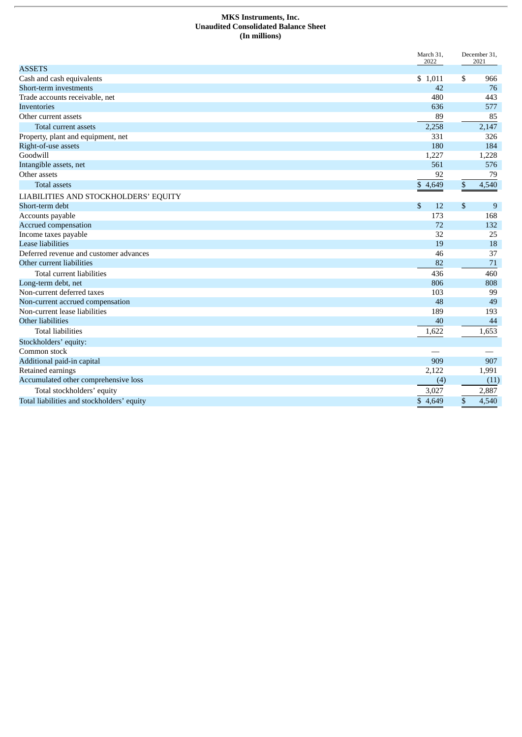#### **MKS Instruments, Inc. Unaudited Consolidated Balance Sheet (In millions)**

|                                            | March 31,<br>2022 |      | December 31,<br>2021 |
|--------------------------------------------|-------------------|------|----------------------|
| <b>ASSETS</b>                              |                   |      |                      |
| Cash and cash equivalents                  | \$1,011           | \$   | 966                  |
| Short-term investments                     | 42                |      | 76                   |
| Trade accounts receivable, net             | 480               |      | 443                  |
| <b>Inventories</b>                         | 636               |      | 577                  |
| Other current assets                       | 89                |      | 85                   |
| <b>Total current assets</b>                | 2,258             |      | 2,147                |
| Property, plant and equipment, net         | 331               |      | 326                  |
| Right-of-use assets                        | 180               |      | 184                  |
| Goodwill                                   | 1,227             |      | 1,228                |
| Intangible assets, net                     | 561               |      | 576                  |
| Other assets                               | 92                |      | 79                   |
| <b>Total assets</b>                        | \$4,649           | $\$$ | 4,540                |
| LIABILITIES AND STOCKHOLDERS' EQUITY       |                   |      |                      |
| Short-term debt                            | \$<br>12          | \$   | 9                    |
| Accounts payable                           | 173               |      | 168                  |
| Accrued compensation                       | 72                |      | 132                  |
| Income taxes payable                       | 32                |      | 25                   |
| <b>Lease liabilities</b>                   | 19                |      | 18                   |
| Deferred revenue and customer advances     | 46                |      | 37                   |
| Other current liabilities                  | 82                |      | 71                   |
| Total current liabilities                  | 436               |      | 460                  |
| Long-term debt, net                        | 806               |      | 808                  |
| Non-current deferred taxes                 | 103               |      | 99                   |
| Non-current accrued compensation           | 48                |      | 49                   |
| Non-current lease liabilities              | 189               |      | 193                  |
| Other liabilities                          | 40                |      | 44                   |
| <b>Total liabilities</b>                   | 1,622             |      | 1,653                |
| Stockholders' equity:                      |                   |      |                      |
| Common stock                               |                   |      |                      |
| Additional paid-in capital                 | 909               |      | 907                  |
| Retained earnings                          | 2,122             |      | 1,991                |
| Accumulated other comprehensive loss       | (4)               |      | (11)                 |
| Total stockholders' equity                 | 3,027             |      | 2,887                |
| Total liabilities and stockholders' equity | \$4.649           | \$   | 4,540                |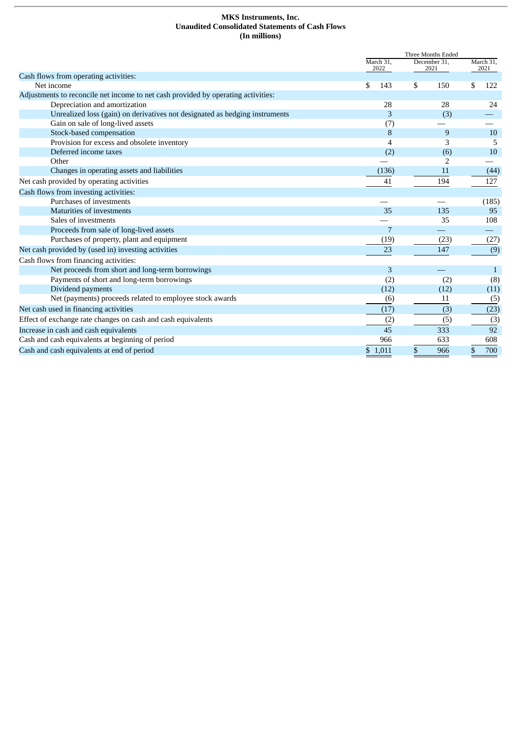#### **MKS Instruments, Inc. Unaudited Consolidated Statements of Cash Flows (In millions)**

|                                                                                   | Three Months Ended |                      |                   |  |
|-----------------------------------------------------------------------------------|--------------------|----------------------|-------------------|--|
|                                                                                   | March 31,<br>2022  | December 31,<br>2021 | March 31,<br>2021 |  |
| Cash flows from operating activities:                                             |                    |                      |                   |  |
| Net income                                                                        | \$<br>143          | \$<br>150            | \$<br>122         |  |
| Adjustments to reconcile net income to net cash provided by operating activities: |                    |                      |                   |  |
| Depreciation and amortization                                                     | 28                 | 28                   | 24                |  |
| Unrealized loss (gain) on derivatives not designated as hedging instruments       | 3                  | (3)                  |                   |  |
| Gain on sale of long-lived assets                                                 | (7)                |                      |                   |  |
| Stock-based compensation                                                          | 8                  | 9                    | 10                |  |
| Provision for excess and obsolete inventory                                       | $\overline{4}$     | 3                    | 5                 |  |
| Deferred income taxes                                                             | (2)                | (6)                  | 10                |  |
| Other                                                                             |                    | 2                    |                   |  |
| Changes in operating assets and liabilities                                       | (136)              | 11                   | (44)              |  |
| Net cash provided by operating activities                                         | 41                 | 194                  | 127               |  |
| Cash flows from investing activities:                                             |                    |                      |                   |  |
| Purchases of investments                                                          |                    |                      | (185)             |  |
| Maturities of investments                                                         | 35                 | 135                  | 95                |  |
| Sales of investments                                                              |                    | 35                   | 108               |  |
| Proceeds from sale of long-lived assets                                           | 7                  |                      |                   |  |
| Purchases of property, plant and equipment                                        | (19)               | (23)                 | (27)              |  |
| Net cash provided by (used in) investing activities                               | 23                 | 147                  | (9)               |  |
| Cash flows from financing activities:                                             |                    |                      |                   |  |
| Net proceeds from short and long-term borrowings                                  | 3                  |                      | $\mathbf{1}$      |  |
| Payments of short and long-term borrowings                                        | (2)                | (2)                  | (8)               |  |
| Dividend payments                                                                 | (12)               | (12)                 | (11)              |  |
| Net (payments) proceeds related to employee stock awards                          | (6)                | 11                   | (5)               |  |
| Net cash used in financing activities                                             | (17)               | (3)                  | (23)              |  |
| Effect of exchange rate changes on cash and cash equivalents                      | (2)                | (5)                  | (3)               |  |
| Increase in cash and cash equivalents                                             | 45                 | 333                  | 92                |  |
| Cash and cash equivalents at beginning of period                                  | 966                | 633                  | 608               |  |
| Cash and cash equivalents at end of period                                        | \$1,011            | \$<br>966            | \$<br>700         |  |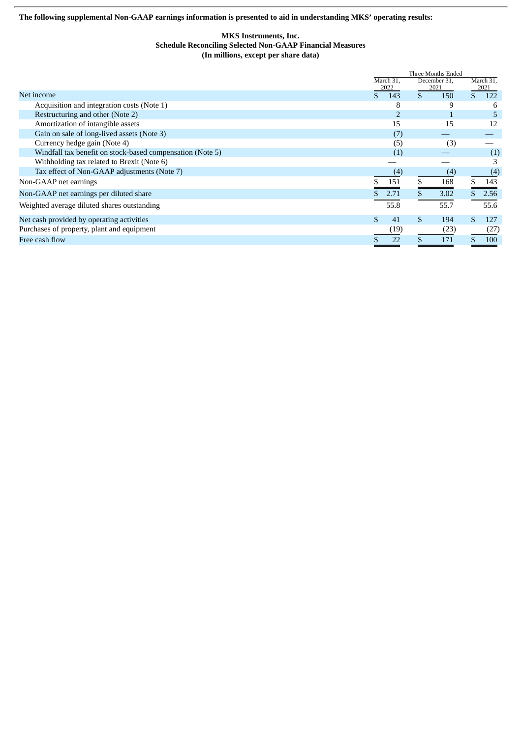**The following supplemental Non-GAAP earnings information is presented to aid in understanding MKS' operating results:**

#### **MKS Instruments, Inc. Schedule Reconciling Selected Non-GAAP Financial Measures (In millions, except per share data)**

|                                                           |                   | Three Months Ended   |                     |  |  |  |
|-----------------------------------------------------------|-------------------|----------------------|---------------------|--|--|--|
|                                                           | March 31.<br>2022 | December 31,<br>2021 | March 31,<br>2021   |  |  |  |
| Net income                                                | \$<br>143         | $\mathbf{s}$<br>150  | $\mathbf{S}$<br>122 |  |  |  |
| Acquisition and integration costs (Note 1)                | 8                 | 9                    | 6                   |  |  |  |
| Restructuring and other (Note 2)                          |                   |                      | 5                   |  |  |  |
| Amortization of intangible assets                         | 15                | 15                   | 12                  |  |  |  |
| Gain on sale of long-lived assets (Note 3)                | (7)               |                      |                     |  |  |  |
| Currency hedge gain (Note 4)                              | (5)               | (3)                  |                     |  |  |  |
| Windfall tax benefit on stock-based compensation (Note 5) | (1)               |                      | (1)                 |  |  |  |
| Withholding tax related to Brexit (Note 6)                |                   |                      |                     |  |  |  |
| Tax effect of Non-GAAP adjustments (Note 7)               | (4)               | (4)                  | (4)                 |  |  |  |
| Non-GAAP net earnings                                     | 151               | \$<br>168            | 143                 |  |  |  |
| Non-GAAP net earnings per diluted share                   | 2.71              | 3.02                 | 2.56                |  |  |  |
| Weighted average diluted shares outstanding               | 55.8              | 55.7                 | 55.6                |  |  |  |
| Net cash provided by operating activities                 | \$<br>41          | \$<br>194            | \$<br>127           |  |  |  |
| Purchases of property, plant and equipment                | (19)              | (23)                 | (27)                |  |  |  |
| Free cash flow                                            | 22                | 171                  | \$<br>100           |  |  |  |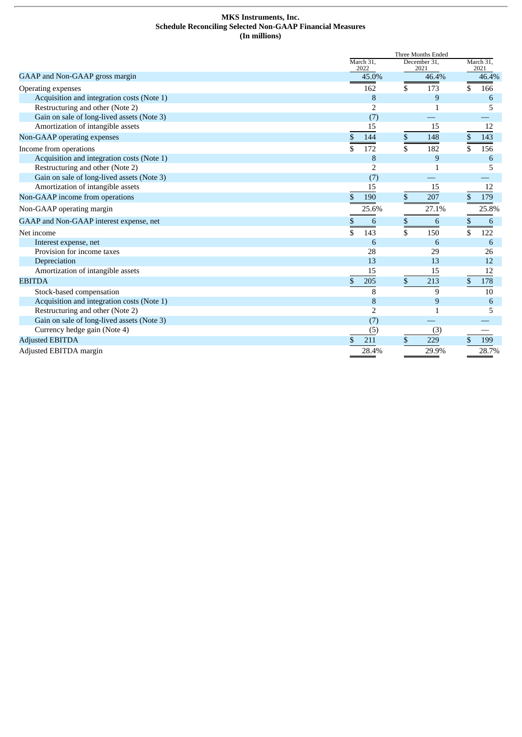#### **MKS Instruments, Inc. Schedule Reconciling Selected Non-GAAP Financial Measures (In millions)**

|                                            |               | Three Months Ended |              |                      |    |                   |
|--------------------------------------------|---------------|--------------------|--------------|----------------------|----|-------------------|
|                                            |               | March 31,<br>2022  |              | December 31.<br>2021 |    | March 31,<br>2021 |
| GAAP and Non-GAAP gross margin             |               | 45.0%              |              | 46.4%                |    | 46.4%             |
| Operating expenses                         |               | 162                | \$           | 173                  | \$ | 166               |
| Acquisition and integration costs (Note 1) |               | 8                  |              | 9                    |    | 6                 |
| Restructuring and other (Note 2)           |               | 2                  |              | 1                    |    | 5                 |
| Gain on sale of long-lived assets (Note 3) |               | (7)                |              |                      |    |                   |
| Amortization of intangible assets          |               | 15                 |              | 15                   |    | 12                |
| Non-GAAP operating expenses                | \$            | 144                | \$           | 148                  | \$ | 143               |
| Income from operations                     | \$            | 172                | \$           | 182                  | \$ | 156               |
| Acquisition and integration costs (Note 1) |               | 8                  |              | 9                    |    | 6                 |
| Restructuring and other (Note 2)           |               | 2                  |              | 1                    |    | 5                 |
| Gain on sale of long-lived assets (Note 3) |               | (7)                |              |                      |    |                   |
| Amortization of intangible assets          |               | 15                 |              | 15                   |    | 12                |
| Non-GAAP income from operations            | \$            | 190                | \$           | 207                  | \$ | 179               |
| Non-GAAP operating margin                  |               | 25.6%              |              | 27.1%                |    | 25.8%             |
| GAAP and Non-GAAP interest expense, net    | \$            | 6                  | \$           | 6                    | \$ | 6                 |
| Net income                                 | \$            | 143                | \$           | 150                  | \$ | 122               |
| Interest expense, net                      |               | 6                  |              | 6                    |    | 6                 |
| Provision for income taxes                 |               | 28                 |              | 29                   |    | 26                |
| Depreciation                               |               | 13                 |              | 13                   |    | 12                |
| Amortization of intangible assets          |               | 15                 |              | 15                   |    | 12                |
| <b>EBITDA</b>                              | $\mathcal{S}$ | 205                | $\mathbb{S}$ | 213                  | \$ | 178               |
| Stock-based compensation                   |               | 8                  |              | 9                    |    | 10                |
| Acquisition and integration costs (Note 1) |               | 8                  |              | 9                    |    | 6                 |
| Restructuring and other (Note 2)           |               | 2                  |              | 1                    |    | 5                 |
| Gain on sale of long-lived assets (Note 3) |               | (7)                |              |                      |    |                   |
| Currency hedge gain (Note 4)               |               | (5)                |              | (3)                  |    |                   |
| <b>Adjusted EBITDA</b>                     | \$            | 211                | \$           | 229                  | \$ | 199               |
| <b>Adiusted EBITDA margin</b>              |               | 28.4%              |              | 29.9%                |    | 28.7%             |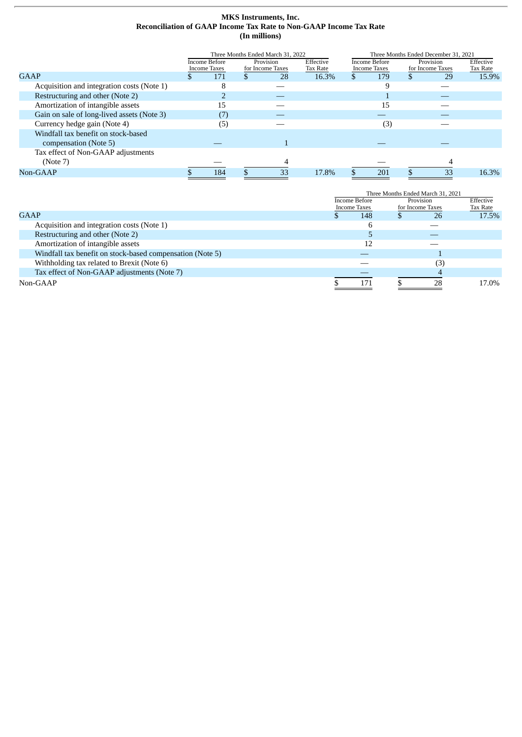# **MKS Instruments, Inc. Reconciliation of GAAP Income Tax Rate to Non-GAAP Income Tax Rate (In millions)**

|                                            | Three Months Ended March 31, 2022 |                               |  |                               | Three Months Ended December 31, 2021 |  |                                      |   |                               |                       |
|--------------------------------------------|-----------------------------------|-------------------------------|--|-------------------------------|--------------------------------------|--|--------------------------------------|---|-------------------------------|-----------------------|
|                                            |                                   | Income Before<br>Income Taxes |  | Provision<br>for Income Taxes | Effective<br><b>Tax Rate</b>         |  | Income Before<br><b>Income Taxes</b> |   | Provision<br>for Income Taxes | Effective<br>Tax Rate |
| GAAP                                       | Ж                                 | 171                           |  | 28                            | 16.3%                                |  | 179                                  | S | 29                            | 15.9%                 |
| Acquisition and integration costs (Note 1) |                                   | 8                             |  |                               |                                      |  |                                      |   |                               |                       |
| Restructuring and other (Note 2)           |                                   |                               |  |                               |                                      |  |                                      |   |                               |                       |
| Amortization of intangible assets          |                                   | 15                            |  |                               |                                      |  | 15                                   |   |                               |                       |
| Gain on sale of long-lived assets (Note 3) |                                   | (7`                           |  |                               |                                      |  |                                      |   |                               |                       |
| Currency hedge gain (Note 4)               |                                   | (5)                           |  |                               |                                      |  | (3)                                  |   |                               |                       |
| Windfall tax benefit on stock-based        |                                   |                               |  |                               |                                      |  |                                      |   |                               |                       |
| compensation (Note 5)                      |                                   |                               |  |                               |                                      |  |                                      |   |                               |                       |
| Tax effect of Non-GAAP adjustments         |                                   |                               |  |                               |                                      |  |                                      |   |                               |                       |
| (Note 7)                                   |                                   |                               |  |                               |                                      |  |                                      |   |                               |                       |
| Non-GAAP                                   |                                   | 184                           |  | 33                            | 17.8%                                |  | 201                                  |   | 33                            | 16.3%                 |

|                                                           |                                      | Three Months Ended March 31, 2021 |                               |                       |       |
|-----------------------------------------------------------|--------------------------------------|-----------------------------------|-------------------------------|-----------------------|-------|
|                                                           | Income Before<br><b>Income Taxes</b> |                                   | Provision<br>for Income Taxes | Effective<br>Tax Rate |       |
| GAAP                                                      | 26<br>148                            |                                   |                               | 17.5%                 |       |
| Acquisition and integration costs (Note 1)                |                                      |                                   |                               |                       |       |
| Restructuring and other (Note 2)                          |                                      |                                   |                               |                       |       |
| Amortization of intangible assets                         |                                      | 12                                |                               |                       |       |
| Windfall tax benefit on stock-based compensation (Note 5) |                                      |                                   |                               |                       |       |
| Withholding tax related to Brexit (Note 6)                |                                      |                                   |                               | ΄З,                   |       |
| Tax effect of Non-GAAP adjustments (Note 7)               |                                      |                                   |                               |                       |       |
| Non-GAAP                                                  |                                      | 171                               |                               | 28                    | 17.0% |